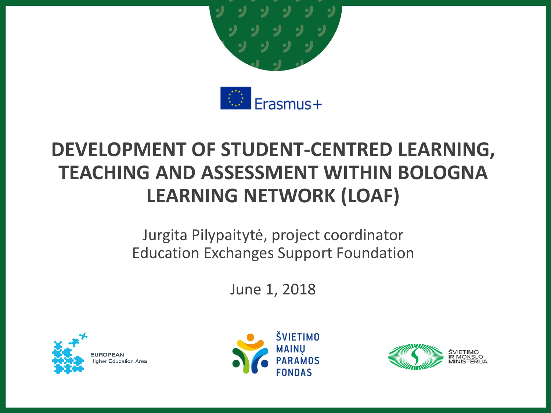

### **DEVELOPMENT OF STUDENT-CENTRED LEARNING, TEACHING AND ASSESSMENT WITHIN BOLOGNA LEARNING NETWORK (LOAF)**

Jurgita Pilypaitytė, project coordinator Education Exchanges Support Foundation

June 1, 2018





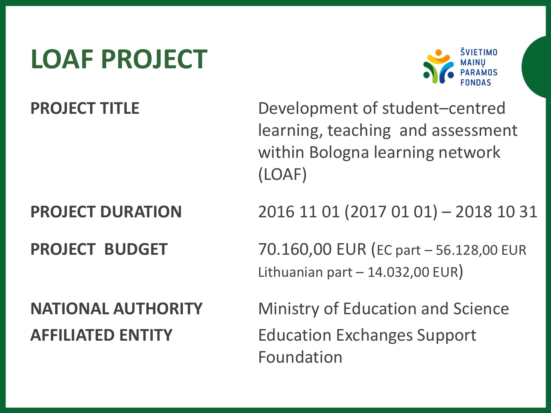### **LOAF PROJECT**



**PROJECT TITLE** Development of student–centred learning, teaching and assessment within Bologna learning network (LOAF)

**PROJECT DURATION** 2016 11 01 (2017 01 01) – 2018 10 31

**PROJECT BUDGET** 70.160,00 EUR (EC part – 56.128,00 EUR Lithuanian part  $-14.032,00$  EUR)

**NATIONAL AUTHORITY** Ministry of Education and Science **AFFILIATED ENTITY** Education Exchanges Support Foundation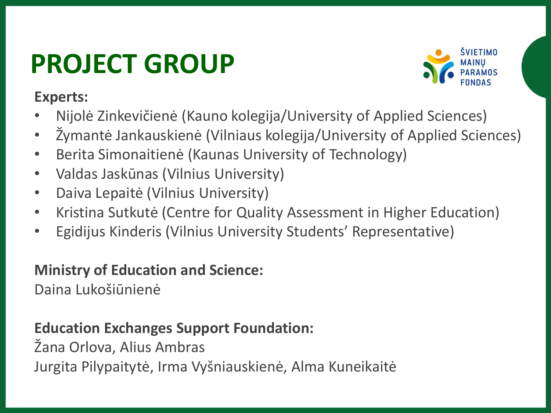# **PROJECT GROUP**

**Experts:**



- Nijolė Zinkevičienė (Kauno kolegija/University of Applied Sciences)
- Žymantė Jankauskienė (Vilniaus kolegija/University of Applied Sciences)
- Berita Simonaitienė (Kaunas University of Technology)
- Valdas Jaskūnas (Vilnius University)
- Daiva Lepaitė (Vilnius University)
- Kristina Sutkutė (Centre for Quality Assessment in Higher Education)
- Egidijus Kinderis (Vilnius University Students' Representative)

### **Ministry of Education and Science:**

Daina Lukošiūnienė

### **Education Exchanges Support Foundation:**

Žana Orlova, Alius Ambras Jurgita Pilypaitytė, Irma Vyšniauskienė, Alma Kuneikaitė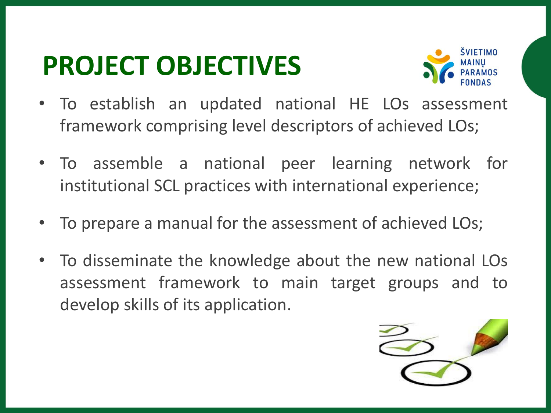### **PROJECT OBJECTIVES**



- To establish an updated national HE LOs assessment framework comprising level descriptors of achieved LOs;
- To assemble a national peer learning network for institutional SCL practices with international experience;
- To prepare a manual for the assessment of achieved LOs;
- To disseminate the knowledge about the new national LOs assessment framework to main target groups and to develop skills of its application.

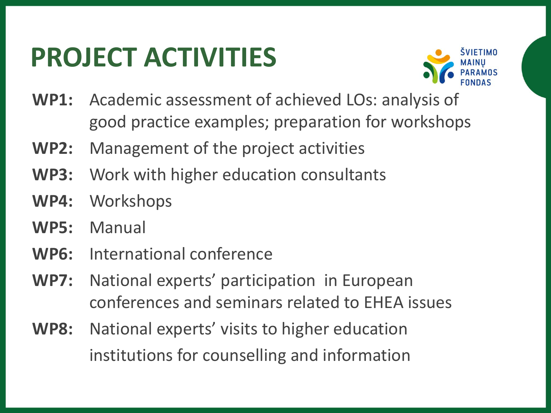## **PROJECT ACTIVITIES**



- **WP1:** Academic assessment of achieved LOs: analysis of good practice examples; preparation for workshops
- **WP2:** Management of the project activities
- **WP3:** Work with higher education consultants
- **WP4:** Workshops
- **WP5:** Manual
- **WP6:** International conference
- **WP7:** National experts' participation in European conferences and seminars related to EHEA issues
- **WP8:** National experts' visits to higher education institutions for counselling and information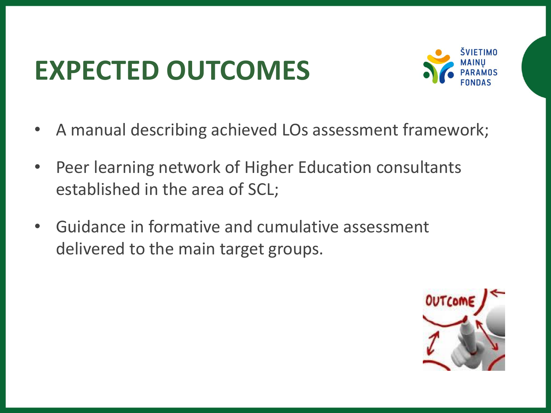# **EXPECTED OUTCOMES**



- A manual describing achieved LOs assessment framework;
- Peer learning network of Higher Education consultants established in the area of SCL;
- Guidance in formative and cumulative assessment delivered to the main target groups.